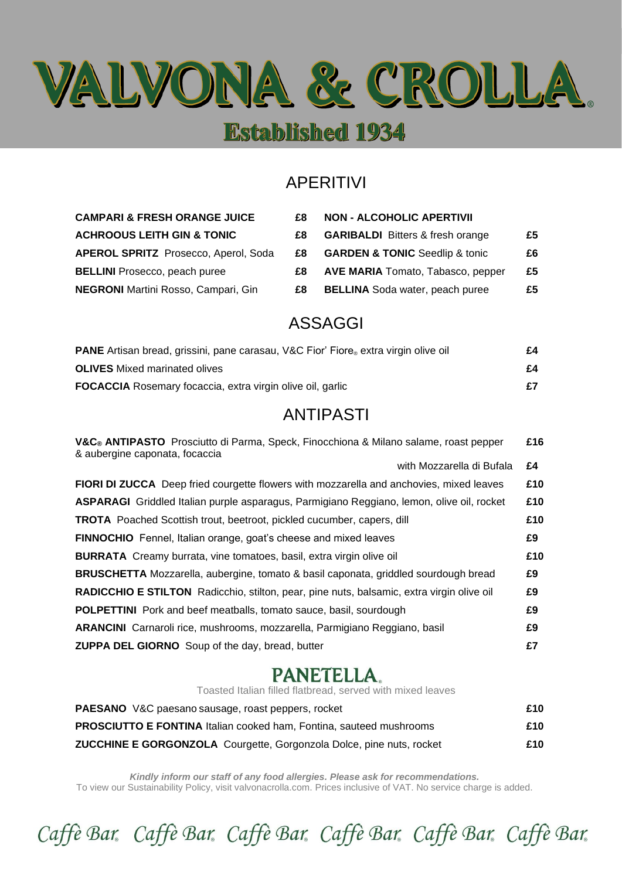

## APERITIVI

| <b>CAMPARI &amp; FRESH ORANGE JUICE</b>     | £8. | <b>NON - ALCOHOLIC APERTIVII</b>          |    |
|---------------------------------------------|-----|-------------------------------------------|----|
| <b>ACHROOUS LEITH GIN &amp; TONIC</b>       | £8. | <b>GARIBALDI</b> Bitters & fresh orange   | £5 |
| <b>APEROL SPRITZ</b> Prosecco, Aperol, Soda | £8  | <b>GARDEN &amp; TONIC</b> Seedlip & tonic | £6 |
| <b>BELLINI</b> Prosecco, peach puree        | £8  | <b>AVE MARIA</b> Tomato, Tabasco, pepper  | £5 |
| <b>NEGRONI</b> Martini Rosso, Campari, Gin  | £8  | <b>BELLINA</b> Soda water, peach puree    | £5 |

#### ASSAGGI

| <b>PANE</b> Artisan bread, grissini, pane carasau, V&C Fior' Fiore <sub>®</sub> extra virgin olive oil | £4 |
|--------------------------------------------------------------------------------------------------------|----|
| <b>OLIVES</b> Mixed marinated olives                                                                   | £4 |
| <b>FOCACCIA</b> Rosemary focaccia, extra virgin olive oil, garlic                                      | £7 |

#### ANTIPASTI

| V&C <sub>®</sub> ANTIPASTO Prosciutto di Parma, Speck, Finocchiona & Milano salame, roast pepper<br>& aubergine caponata, focaccia | £16 |
|------------------------------------------------------------------------------------------------------------------------------------|-----|
| with Mozzarella di Bufala                                                                                                          | £4  |
| FIORI DI ZUCCA Deep fried courgette flowers with mozzarella and anchovies, mixed leaves                                            | £10 |
| <b>ASPARAGI</b> Griddled Italian purple asparagus, Parmigiano Reggiano, Iemon, olive oil, rocket                                   | £10 |
| <b>TROTA</b> Poached Scottish trout, beetroot, pickled cucumber, capers, dill                                                      | £10 |
| <b>FINNOCHIO</b> Fennel, Italian orange, goat's cheese and mixed leaves                                                            | £9  |
| <b>BURRATA</b> Creamy burrata, vine tomatoes, basil, extra virgin olive oil                                                        | £10 |
| <b>BRUSCHETTA</b> Mozzarella, aubergine, tomato & basil caponata, griddled sourdough bread                                         | £9  |
| <b>RADICCHIO E STILTON</b> Radicchio, stilton, pear, pine nuts, balsamic, extra virgin olive oil                                   | £9  |
| <b>POLPETTINI</b> Pork and beef meatballs, tomato sauce, basil, sourdough                                                          | £9  |
| ARANCINI Carnaroli rice, mushrooms, mozzarella, Parmigiano Reggiano, basil                                                         | £9  |
| ZUPPA DEL GIORNO Soup of the day, bread, butter                                                                                    | £7  |
|                                                                                                                                    |     |

# **PANETELLA**

Toasted Italian filled flatbread, served with mixed leaves

| <b>PAESANO</b> V&C paesano sausage, roast peppers, rocket                  | £10 |
|----------------------------------------------------------------------------|-----|
| <b>PROSCIUTTO E FONTINA Italian cooked ham, Fontina, sauteed mushrooms</b> | £10 |
| ZUCCHINE E GORGONZOLA Courgette, Gorgonzola Dolce, pine nuts, rocket       | £10 |

Kindly inform our staff of any food allergies. Please ask for recommendations. To view our Sustainability Policy, visit valvonacrolla.com. Prices inclusive of VAT. No service charge is added.

Caffè Bar. Caffè Bar. Caffè Bar. Caffè Bar. Caffè Bar. Caffè Bar.